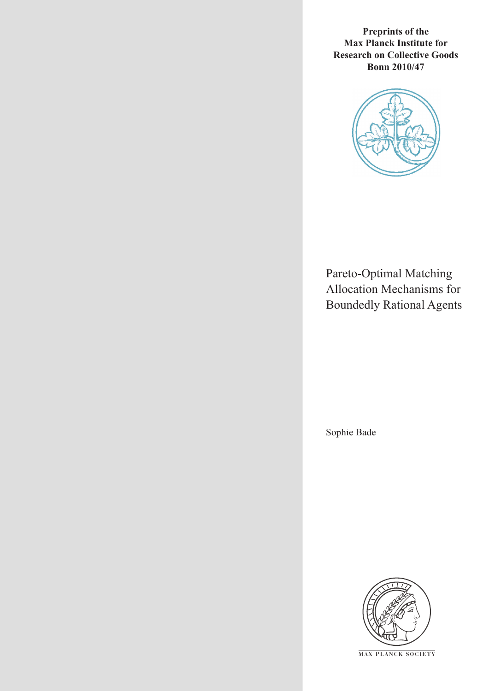**Preprints of the Max Planck Institute for Research on Collective Goods Bonn 2010/47**



Pareto-Optimal Matching Allocation Mechanisms for Boundedly Rational Agents

Sophie Bade



**M AX P L A N C K S O C I E T Y**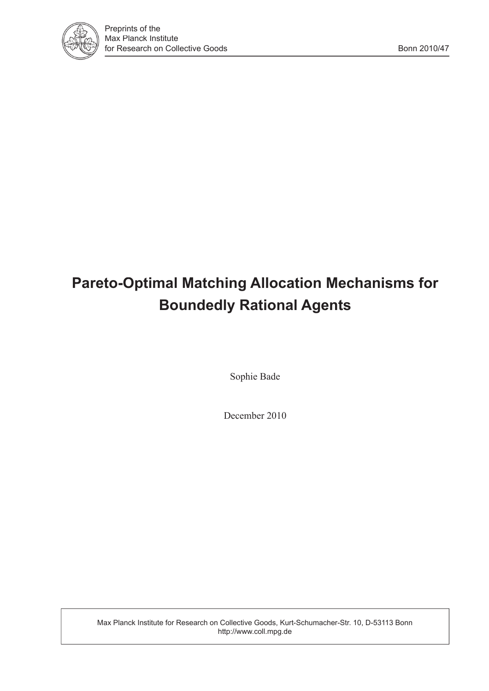

# **Pareto-Optimal Matching Allocation Mechanisms for Boundedly Rational Agents**

Sophie Bade

December 2010

Max Planck Institute for Research on Collective Goods, Kurt-Schumacher-Str. 10, D-53113 Bonn http://www.coll.mpg.de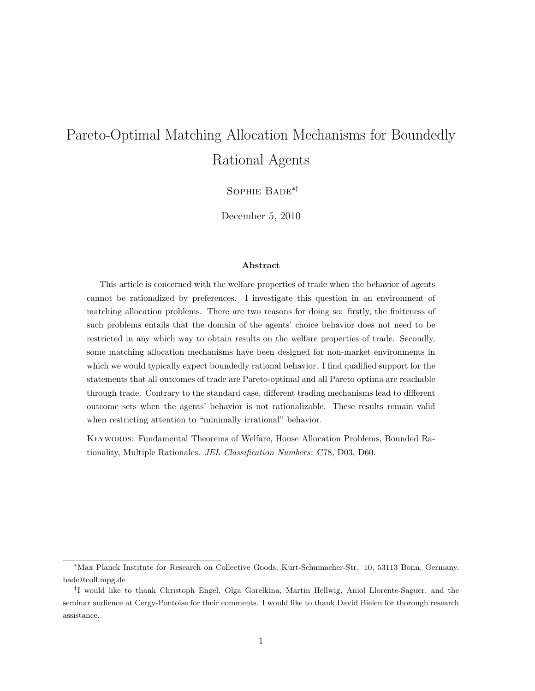# Pareto-Optimal Matching Allocation Mechanisms for Boundedly Rational Agents

Sophie Bade∗†

December 5, 2010

#### Abstract

This article is concerned with the welfare properties of trade when the behavior of agents cannot be rationalized by preferences. I investigate this question in an environment of matching allocation problems. There are two reasons for doing so: firstly, the finiteness of such problems entails that the domain of the agents' choice behavior does not need to be restricted in any which way to obtain results on the welfare properties of trade. Secondly, some matching allocation mechanisms have been designed for non-market environments in which we would typically expect boundedly rational behavior. I find qualified support for the statements that all outcomes of trade are Pareto-optimal and all Pareto optima are reachable through trade. Contrary to the standard case, different trading mechanisms lead to different outcome sets when the agents' behavior is not rationalizable. These results remain valid when restricting attention to "minimally irrational" behavior.

Keywords: Fundamental Theorems of Welfare, House Allocation Problems, Bounded Rationality, Multiple Rationales. JEL Classification Numbers: C78, D03, D60.

<sup>∗</sup>Max Planck Institute for Research on Collective Goods, Kurt-Schumacher-Str. 10, 53113 Bonn, Germany. bade@coll.mpg.de

<sup>†</sup> I would like to thank Christoph Engel, Olga Gorelkina, Martin Hellwig, Aniol Llorente-Saguer, and the seminar audience at Cergy-Pontoise for their comments. I would like to thank David Bielen for thorough research assistance.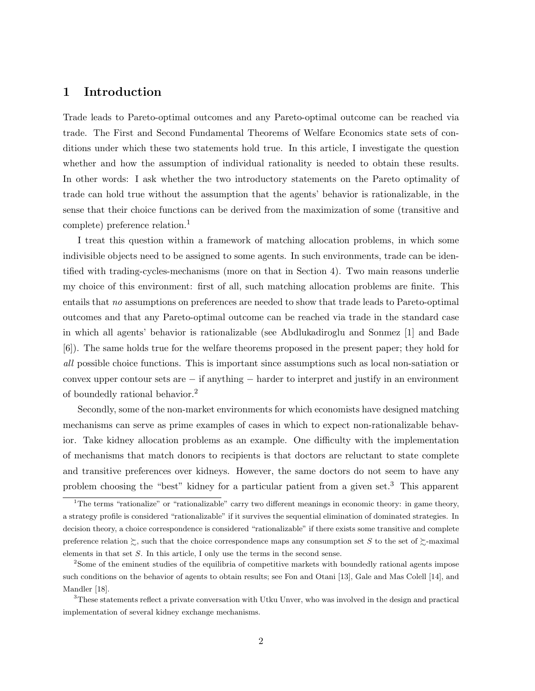#### 1 Introduction

Trade leads to Pareto-optimal outcomes and any Pareto-optimal outcome can be reached via trade. The First and Second Fundamental Theorems of Welfare Economics state sets of conditions under which these two statements hold true. In this article, I investigate the question whether and how the assumption of individual rationality is needed to obtain these results. In other words: I ask whether the two introductory statements on the Pareto optimality of trade can hold true without the assumption that the agents' behavior is rationalizable, in the sense that their choice functions can be derived from the maximization of some (transitive and complete) preference relation.<sup>1</sup>

I treat this question within a framework of matching allocation problems, in which some indivisible objects need to be assigned to some agents. In such environments, trade can be identified with trading-cycles-mechanisms (more on that in Section 4). Two main reasons underlie my choice of this environment: first of all, such matching allocation problems are finite. This entails that no assumptions on preferences are needed to show that trade leads to Pareto-optimal outcomes and that any Pareto-optimal outcome can be reached via trade in the standard case in which all agents' behavior is rationalizable (see Abdlukadiroglu and Sonmez [1] and Bade [6]). The same holds true for the welfare theorems proposed in the present paper; they hold for all possible choice functions. This is important since assumptions such as local non-satiation or convex upper contour sets are  $-$  if anything  $-$  harder to interpret and justify in an environment of boundedly rational behavior.<sup>2</sup>

Secondly, some of the non-market environments for which economists have designed matching mechanisms can serve as prime examples of cases in which to expect non-rationalizable behavior. Take kidney allocation problems as an example. One difficulty with the implementation of mechanisms that match donors to recipients is that doctors are reluctant to state complete and transitive preferences over kidneys. However, the same doctors do not seem to have any problem choosing the "best" kidney for a particular patient from a given set.<sup>3</sup> This apparent

<sup>&</sup>lt;sup>1</sup>The terms "rationalize" or "rationalizable" carry two different meanings in economic theory: in game theory, a strategy profile is considered "rationalizable" if it survives the sequential elimination of dominated strategies. In decision theory, a choice correspondence is considered "rationalizable" if there exists some transitive and complete preference relation  $\gtrsim$ , such that the choice correspondence maps any consumption set S to the set of  $\gtrsim$ -maximal elements in that set S. In this article, I only use the terms in the second sense.

<sup>&</sup>lt;sup>2</sup>Some of the eminent studies of the equilibria of competitive markets with boundedly rational agents impose such conditions on the behavior of agents to obtain results; see Fon and Otani [13], Gale and Mas Colell [14], and Mandler [18].

<sup>3</sup>These statements reflect a private conversation with Utku Unver, who was involved in the design and practical implementation of several kidney exchange mechanisms.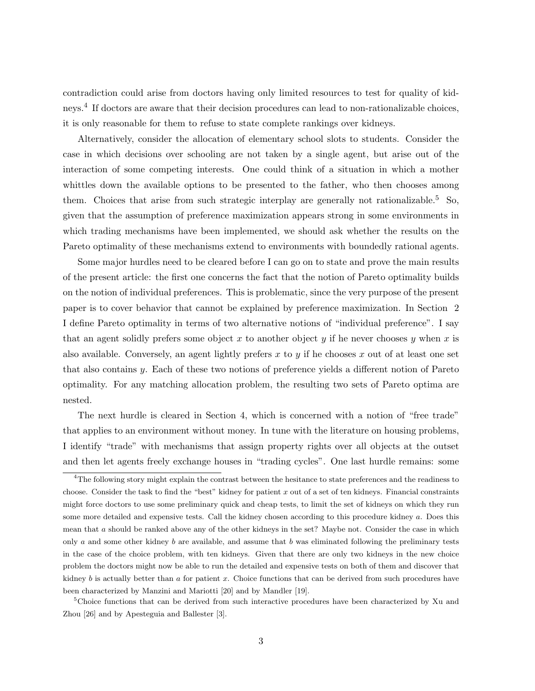contradiction could arise from doctors having only limited resources to test for quality of kidneys.<sup>4</sup> If doctors are aware that their decision procedures can lead to non-rationalizable choices, it is only reasonable for them to refuse to state complete rankings over kidneys.

Alternatively, consider the allocation of elementary school slots to students. Consider the case in which decisions over schooling are not taken by a single agent, but arise out of the interaction of some competing interests. One could think of a situation in which a mother whittles down the available options to be presented to the father, who then chooses among them. Choices that arise from such strategic interplay are generally not rationalizable.<sup>5</sup> So, given that the assumption of preference maximization appears strong in some environments in which trading mechanisms have been implemented, we should ask whether the results on the Pareto optimality of these mechanisms extend to environments with boundedly rational agents.

Some major hurdles need to be cleared before I can go on to state and prove the main results of the present article: the first one concerns the fact that the notion of Pareto optimality builds on the notion of individual preferences. This is problematic, since the very purpose of the present paper is to cover behavior that cannot be explained by preference maximization. In Section 2 I define Pareto optimality in terms of two alternative notions of "individual preference". I say that an agent solidly prefers some object x to another object y if he never chooses y when x is also available. Conversely, an agent lightly prefers  $x$  to  $y$  if he chooses  $x$  out of at least one set that also contains y. Each of these two notions of preference yields a different notion of Pareto optimality. For any matching allocation problem, the resulting two sets of Pareto optima are nested.

The next hurdle is cleared in Section 4, which is concerned with a notion of "free trade" that applies to an environment without money. In tune with the literature on housing problems, I identify "trade" with mechanisms that assign property rights over all objects at the outset and then let agents freely exchange houses in "trading cycles". One last hurdle remains: some

<sup>4</sup>The following story might explain the contrast between the hesitance to state preferences and the readiness to choose. Consider the task to find the "best" kidney for patient  $x$  out of a set of ten kidneys. Financial constraints might force doctors to use some preliminary quick and cheap tests, to limit the set of kidneys on which they run some more detailed and expensive tests. Call the kidney chosen according to this procedure kidney a. Does this mean that a should be ranked above any of the other kidneys in the set? Maybe not. Consider the case in which only  $a$  and some other kidney  $b$  are available, and assume that  $b$  was eliminated following the preliminary tests in the case of the choice problem, with ten kidneys. Given that there are only two kidneys in the new choice problem the doctors might now be able to run the detailed and expensive tests on both of them and discover that kidney b is actually better than a for patient x. Choice functions that can be derived from such procedures have been characterized by Manzini and Mariotti [20] and by Mandler [19].

<sup>&</sup>lt;sup>5</sup>Choice functions that can be derived from such interactive procedures have been characterized by Xu and Zhou [26] and by Apesteguia and Ballester [3].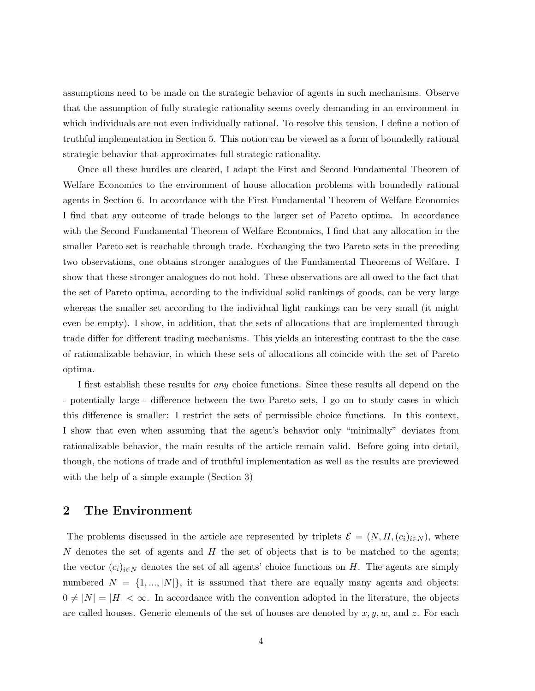assumptions need to be made on the strategic behavior of agents in such mechanisms. Observe that the assumption of fully strategic rationality seems overly demanding in an environment in which individuals are not even individually rational. To resolve this tension, I define a notion of truthful implementation in Section 5. This notion can be viewed as a form of boundedly rational strategic behavior that approximates full strategic rationality.

Once all these hurdles are cleared, I adapt the First and Second Fundamental Theorem of Welfare Economics to the environment of house allocation problems with boundedly rational agents in Section 6. In accordance with the First Fundamental Theorem of Welfare Economics I find that any outcome of trade belongs to the larger set of Pareto optima. In accordance with the Second Fundamental Theorem of Welfare Economics, I find that any allocation in the smaller Pareto set is reachable through trade. Exchanging the two Pareto sets in the preceding two observations, one obtains stronger analogues of the Fundamental Theorems of Welfare. I show that these stronger analogues do not hold. These observations are all owed to the fact that the set of Pareto optima, according to the individual solid rankings of goods, can be very large whereas the smaller set according to the individual light rankings can be very small (it might even be empty). I show, in addition, that the sets of allocations that are implemented through trade differ for different trading mechanisms. This yields an interesting contrast to the the case of rationalizable behavior, in which these sets of allocations all coincide with the set of Pareto optima.

I first establish these results for any choice functions. Since these results all depend on the - potentially large - difference between the two Pareto sets, I go on to study cases in which this difference is smaller: I restrict the sets of permissible choice functions. In this context, I show that even when assuming that the agent's behavior only "minimally" deviates from rationalizable behavior, the main results of the article remain valid. Before going into detail, though, the notions of trade and of truthful implementation as well as the results are previewed with the help of a simple example (Section 3)

#### 2 The Environment

The problems discussed in the article are represented by triplets  $\mathcal{E} = (N, H, (c_i)_{i \in N})$ , where N denotes the set of agents and  $H$  the set of objects that is to be matched to the agents; the vector  $(c_i)_{i\in\mathbb{N}}$  denotes the set of all agents' choice functions on H. The agents are simply numbered  $N = \{1, ..., |N|\}$ , it is assumed that there are equally many agents and objects:  $0 \neq |N| = |H| < \infty$ . In accordance with the convention adopted in the literature, the objects are called houses. Generic elements of the set of houses are denoted by  $x, y, w$ , and  $z$ . For each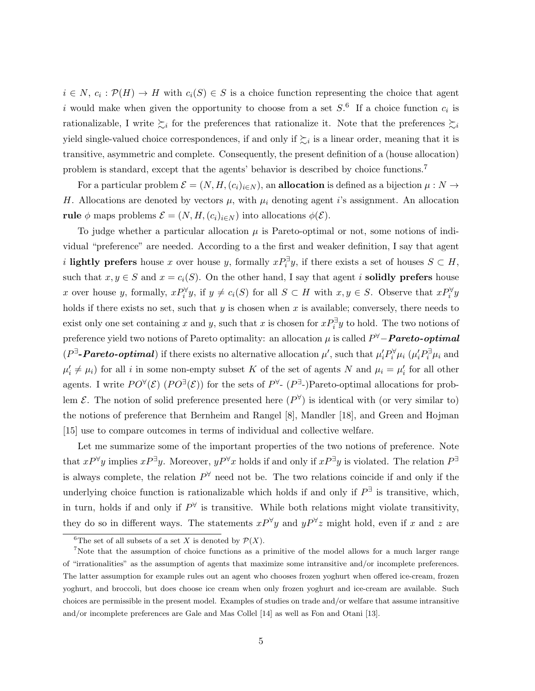$i \in N$ ,  $c_i : \mathcal{P}(H) \to H$  with  $c_i(S) \in S$  is a choice function representing the choice that agent i would make when given the opportunity to choose from a set  $S^6$ . If a choice function  $c_i$  is rationalizable, I write  $\sum_i$  for the preferences that rationalize it. Note that the preferences  $\sum_i$ yield single-valued choice correspondences, if and only if  $\gtrsim_i$  is a linear order, meaning that it is transitive, asymmetric and complete. Consequently, the present definition of a (house allocation) problem is standard, except that the agents' behavior is described by choice functions.<sup>7</sup>

For a particular problem  $\mathcal{E} = (N, H, (c_i)_{i \in N})$ , an **allocation** is defined as a bijection  $\mu : N \to$ H. Allocations are denoted by vectors  $\mu$ , with  $\mu_i$  denoting agent i's assignment. An allocation rule  $\phi$  maps problems  $\mathcal{E} = (N, H, (c_i)_{i \in N})$  into allocations  $\phi(\mathcal{E})$ .

To judge whether a particular allocation  $\mu$  is Pareto-optimal or not, some notions of individual "preference" are needed. According to a the first and weaker definition, I say that agent i lightly prefers house x over house y, formally  $xP_i^{\exists}y$ , if there exists a set of houses  $S \subset H$ , such that  $x, y \in S$  and  $x = c_i(S)$ . On the other hand, I say that agent i **solidly prefers** house x over house y, formally,  $xP_i^{\forall}y$ , if  $y \neq c_i(S)$  for all  $S \subset H$  with  $x, y \in S$ . Observe that  $xP_i^{\forall}y$ holds if there exists no set, such that  $y$  is chosen when  $x$  is available; conversely, there needs to exist only one set containing x and y, such that x is chosen for  $xP_i^{\exists}y$  to hold. The two notions of preference yield two notions of Pareto optimality: an allocation  $\mu$  is called  $P^{\forall}-\textbf{\textit{Pareto-optimal}}$  $(P^{\exists}$ **-Pareto-optimal**) if there exists no alternative allocation  $\mu'$ , such that  $\mu'_i P_i^{\forall} \mu_i (\mu'_i P_i^{\exists} \mu_i)$  and  $\mu'_i \neq \mu_i$  for all i in some non-empty subset K of the set of agents N and  $\mu_i = \mu'_i$  for all other agents. I write  $PO^{\forall}(\mathcal{E})$   $(PO^{\exists}(\mathcal{E}))$  for the sets of  $P^{\forall_{-}}$   $(P^{\exists_{-}})$ Pareto-optimal allocations for problem  $\mathcal{E}$ . The notion of solid preference presented here  $(P^{\forall})$  is identical with (or very similar to) the notions of preference that Bernheim and Rangel [8], Mandler [18], and Green and Hojman [15] use to compare outcomes in terms of individual and collective welfare.

Let me summarize some of the important properties of the two notions of preference. Note that  $xP^{\forall}y$  implies  $xP^{\exists}y$ . Moreover,  $yP^{\forall}x$  holds if and only if  $xP^{\exists}y$  is violated. The relation  $P^{\exists}$ is always complete, the relation  $P^{\forall}$  need not be. The two relations coincide if and only if the underlying choice function is rationalizable which holds if and only if  $P^{\exists}$  is transitive, which, in turn, holds if and only if  $P^{\forall}$  is transitive. While both relations might violate transitivity, they do so in different ways. The statements  $xP^{\forall}y$  and  $yP^{\forall}z$  might hold, even if x and z are

<sup>&</sup>lt;sup>6</sup>The set of all subsets of a set X is denoted by  $\mathcal{P}(X)$ .

<sup>7</sup>Note that the assumption of choice functions as a primitive of the model allows for a much larger range of "irrationalities" as the assumption of agents that maximize some intransitive and/or incomplete preferences. The latter assumption for example rules out an agent who chooses frozen yoghurt when offered ice-cream, frozen yoghurt, and broccoli, but does choose ice cream when only frozen yoghurt and ice-cream are available. Such choices are permissible in the present model. Examples of studies on trade and/or welfare that assume intransitive and/or incomplete preferences are Gale and Mas Collel [14] as well as Fon and Otani [13].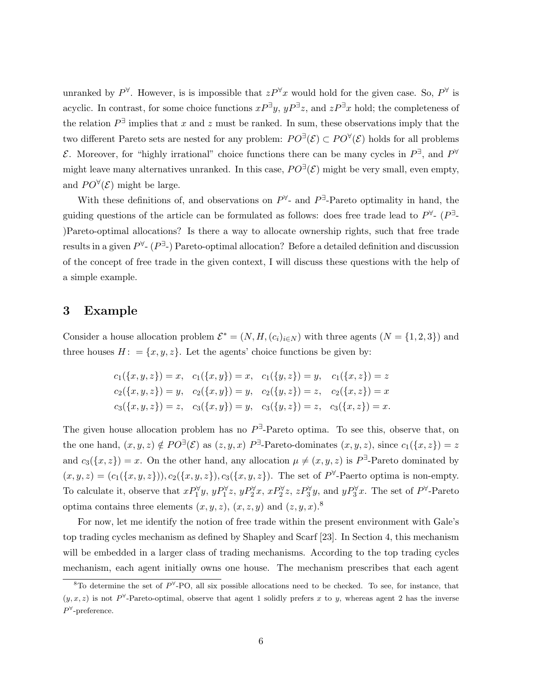unranked by  $P^{\forall}$ . However, is is impossible that  $zP^{\forall}x$  would hold for the given case. So,  $P^{\forall}$  is acyclic. In contrast, for some choice functions  $xP^{\exists}y$ ,  $yP^{\exists}z$ , and  $zP^{\exists}x$  hold; the completeness of the relation  $P^{\exists}$  implies that x and z must be ranked. In sum, these observations imply that the two different Pareto sets are nested for any problem:  $PO^{\exists}(\mathcal{E}) \subset PO^{\forall}(\mathcal{E})$  holds for all problems E. Moreover, for "highly irrational" choice functions there can be many cycles in  $P^{\exists}$ , and  $P^{\forall}$ might leave many alternatives unranked. In this case,  $PO^{\exists}(\mathcal{E})$  might be very small, even empty, and  $PO^{\forall}(\mathcal{E})$  might be large.

With these definitions of, and observations on  $P^{\forall}$ - and  $P^{\exists}$ -Pareto optimality in hand, the guiding questions of the article can be formulated as follows: does free trade lead to  $P^{\forall}$ - ( $P^{\exists}$ -)Pareto-optimal allocations? Is there a way to allocate ownership rights, such that free trade results in a given  $P^{\forall}$ - ( $P^{\exists}$ -) Pareto-optimal allocation? Before a detailed definition and discussion of the concept of free trade in the given context, I will discuss these questions with the help of a simple example.

#### 3 Example

Consider a house allocation problem  $\mathcal{E}^* = (N, H, (c_i)_{i \in N})$  with three agents  $(N = \{1, 2, 3\})$  and three houses  $H: = \{x, y, z\}$ . Let the agents' choice functions be given by:

$$
c_1(\{x, y, z\}) = x, \quad c_1(\{x, y\}) = x, \quad c_1(\{y, z\}) = y, \quad c_1(\{x, z\}) = z
$$
  

$$
c_2(\{x, y, z\}) = y, \quad c_2(\{x, y\}) = y, \quad c_2(\{y, z\}) = z, \quad c_2(\{x, z\}) = x
$$
  

$$
c_3(\{x, y, z\}) = z, \quad c_3(\{x, y\}) = y, \quad c_3(\{y, z\}) = z, \quad c_3(\{x, z\}) = x.
$$

The given house allocation problem has no  $P^{\exists}$ -Pareto optima. To see this, observe that, on the one hand,  $(x, y, z) \notin PO^{\exists}(\mathcal{E})$  as  $(z, y, x)$   $P^{\exists}$ -Pareto-dominates  $(x, y, z)$ , since  $c_1({x, z}) = z$ and  $c_3({x, z}) = x$ . On the other hand, any allocation  $\mu \neq (x, y, z)$  is  $P^{\exists}$ -Pareto dominated by  $(x, y, z) = (c_1(\{x, y, z\})), c_2(\{x, y, z\}), c_3(\{x, y, z\}).$  The set of  $P^{\forall}$ -Paerto optima is non-empty. To calculate it, observe that  $xP_1^{\forall}y$ ,  $yP_1^{\forall}z$ ,  $yP_2^{\forall}x$ ,  $xP_2^{\forall}z$ ,  $zP_3^{\forall}y$ , and  $yP_3^{\forall}x$ . The set of  $P^{\forall}$ -Pareto optima contains three elements  $(x, y, z)$ ,  $(x, z, y)$  and  $(z, y, x)$ .<sup>8</sup>

For now, let me identify the notion of free trade within the present environment with Gale's top trading cycles mechanism as defined by Shapley and Scarf [23]. In Section 4, this mechanism will be embedded in a larger class of trading mechanisms. According to the top trading cycles mechanism, each agent initially owns one house. The mechanism prescribes that each agent

<sup>&</sup>lt;sup>8</sup>To determine the set of  $P^{\forall}$ -PO, all six possible allocations need to be checked. To see, for instance, that  $(y, x, z)$  is not P<sup> $\forall$ </sup>-Pareto-optimal, observe that agent 1 solidly prefers x to y, whereas agent 2 has the inverse  $P^{\forall}$ -preference.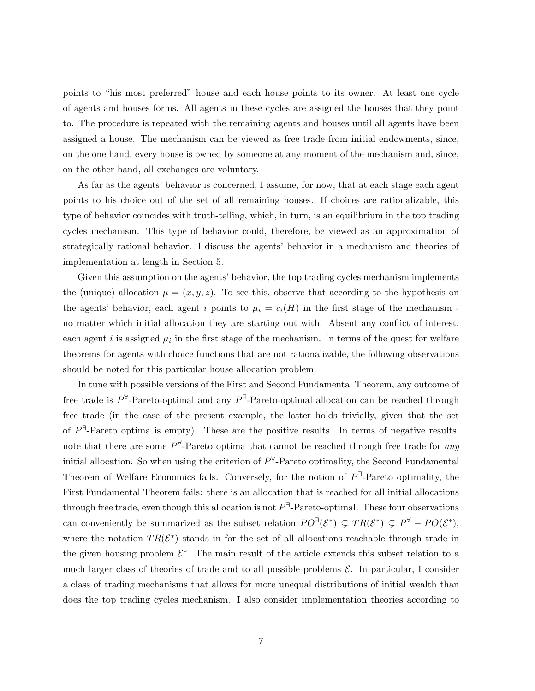points to "his most preferred" house and each house points to its owner. At least one cycle of agents and houses forms. All agents in these cycles are assigned the houses that they point to. The procedure is repeated with the remaining agents and houses until all agents have been assigned a house. The mechanism can be viewed as free trade from initial endowments, since, on the one hand, every house is owned by someone at any moment of the mechanism and, since, on the other hand, all exchanges are voluntary.

As far as the agents' behavior is concerned, I assume, for now, that at each stage each agent points to his choice out of the set of all remaining houses. If choices are rationalizable, this type of behavior coincides with truth-telling, which, in turn, is an equilibrium in the top trading cycles mechanism. This type of behavior could, therefore, be viewed as an approximation of strategically rational behavior. I discuss the agents' behavior in a mechanism and theories of implementation at length in Section 5.

Given this assumption on the agents' behavior, the top trading cycles mechanism implements the (unique) allocation  $\mu = (x, y, z)$ . To see this, observe that according to the hypothesis on the agents' behavior, each agent i points to  $\mu_i = c_i(H)$  in the first stage of the mechanism no matter which initial allocation they are starting out with. Absent any conflict of interest, each agent *i* is assigned  $\mu_i$  in the first stage of the mechanism. In terms of the quest for welfare theorems for agents with choice functions that are not rationalizable, the following observations should be noted for this particular house allocation problem:

In tune with possible versions of the First and Second Fundamental Theorem, any outcome of free trade is  $P^{\forall}$ -Pareto-optimal and any  $P^{\exists}$ -Pareto-optimal allocation can be reached through free trade (in the case of the present example, the latter holds trivially, given that the set of  $P^{\exists}$ -Pareto optima is empty). These are the positive results. In terms of negative results, note that there are some  $P^{\forall}$ -Pareto optima that cannot be reached through free trade for any initial allocation. So when using the criterion of  $P^{\forall}$ -Pareto optimality, the Second Fundamental Theorem of Welfare Economics fails. Conversely, for the notion of  $P^{\exists}$ -Pareto optimality, the First Fundamental Theorem fails: there is an allocation that is reached for all initial allocations through free trade, even though this allocation is not  $P^{\exists}$ -Pareto-optimal. These four observations can conveniently be summarized as the subset relation  $PO^{\exists}(\mathcal{E}^*) \subsetneq TR(\mathcal{E}^*) \subsetneq P^{\forall} - PO(\mathcal{E}^*)$ , where the notation  $TR(\mathcal{E}^*)$  stands in for the set of all allocations reachable through trade in the given housing problem  $\mathcal{E}^*$ . The main result of the article extends this subset relation to a much larger class of theories of trade and to all possible problems  $\mathcal{E}$ . In particular, I consider a class of trading mechanisms that allows for more unequal distributions of initial wealth than does the top trading cycles mechanism. I also consider implementation theories according to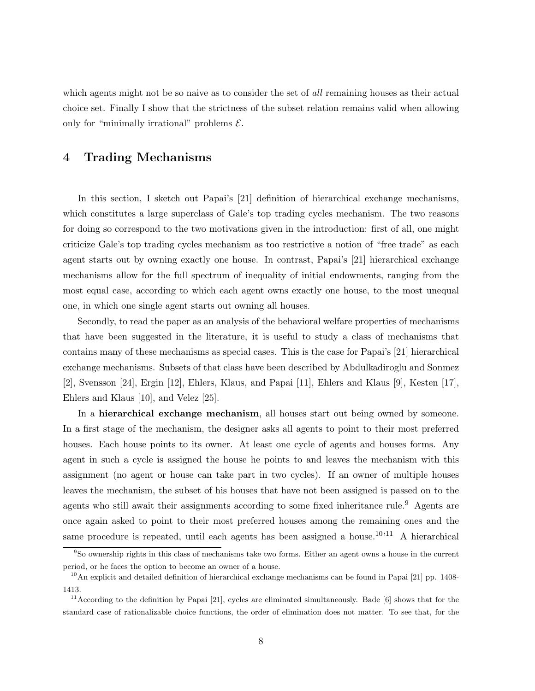which agents might not be so naive as to consider the set of *all* remaining houses as their actual choice set. Finally I show that the strictness of the subset relation remains valid when allowing only for "minimally irrational" problems  $\mathcal{E}$ .

#### 4 Trading Mechanisms

In this section, I sketch out Papai's [21] definition of hierarchical exchange mechanisms, which constitutes a large superclass of Gale's top trading cycles mechanism. The two reasons for doing so correspond to the two motivations given in the introduction: first of all, one might criticize Gale's top trading cycles mechanism as too restrictive a notion of "free trade" as each agent starts out by owning exactly one house. In contrast, Papai's [21] hierarchical exchange mechanisms allow for the full spectrum of inequality of initial endowments, ranging from the most equal case, according to which each agent owns exactly one house, to the most unequal one, in which one single agent starts out owning all houses.

Secondly, to read the paper as an analysis of the behavioral welfare properties of mechanisms that have been suggested in the literature, it is useful to study a class of mechanisms that contains many of these mechanisms as special cases. This is the case for Papai's [21] hierarchical exchange mechanisms. Subsets of that class have been described by Abdulkadiroglu and Sonmez [2], Svensson [24], Ergin [12], Ehlers, Klaus, and Papai [11], Ehlers and Klaus [9], Kesten [17], Ehlers and Klaus [10], and Velez [25].

In a hierarchical exchange mechanism, all houses start out being owned by someone. In a first stage of the mechanism, the designer asks all agents to point to their most preferred houses. Each house points to its owner. At least one cycle of agents and houses forms. Any agent in such a cycle is assigned the house he points to and leaves the mechanism with this assignment (no agent or house can take part in two cycles). If an owner of multiple houses leaves the mechanism, the subset of his houses that have not been assigned is passed on to the agents who still await their assignments according to some fixed inheritance rule.<sup>9</sup> Agents are once again asked to point to their most preferred houses among the remaining ones and the same procedure is repeated, until each agents has been assigned a house.<sup>10,11</sup> A hierarchical

<sup>9</sup>So ownership rights in this class of mechanisms take two forms. Either an agent owns a house in the current period, or he faces the option to become an owner of a house.

 $10$ An explicit and detailed definition of hierarchical exchange mechanisms can be found in Papai [21] pp. 1408-1413.

<sup>&</sup>lt;sup>11</sup> According to the definition by Papai [21], cycles are eliminated simultaneously. Bade [6] shows that for the standard case of rationalizable choice functions, the order of elimination does not matter. To see that, for the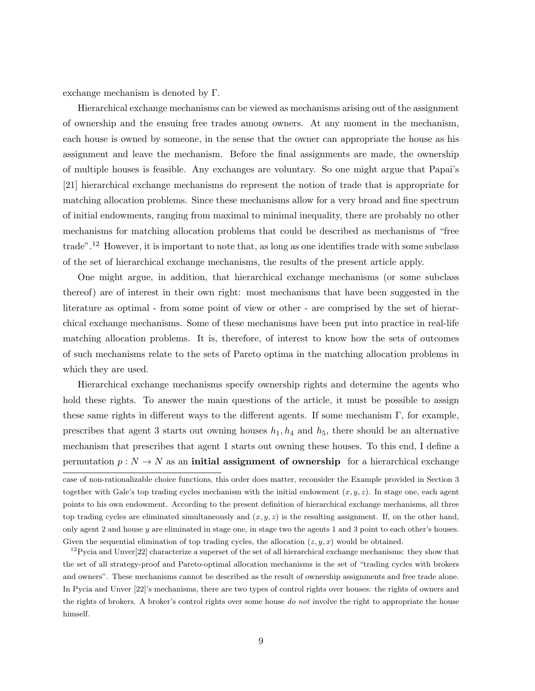exchange mechanism is denoted by Γ.

Hierarchical exchange mechanisms can be viewed as mechanisms arising out of the assignment of ownership and the ensuing free trades among owners. At any moment in the mechanism, each house is owned by someone, in the sense that the owner can appropriate the house as his assignment and leave the mechanism. Before the final assignments are made, the ownership of multiple houses is feasible. Any exchanges are voluntary. So one might argue that Papai's [21] hierarchical exchange mechanisms do represent the notion of trade that is appropriate for matching allocation problems. Since these mechanisms allow for a very broad and fine spectrum of initial endowments, ranging from maximal to minimal inequality, there are probably no other mechanisms for matching allocation problems that could be described as mechanisms of "free trade".<sup>12</sup> However, it is important to note that, as long as one identifies trade with some subclass of the set of hierarchical exchange mechanisms, the results of the present article apply.

One might argue, in addition, that hierarchical exchange mechanisms (or some subclass thereof) are of interest in their own right: most mechanisms that have been suggested in the literature as optimal - from some point of view or other - are comprised by the set of hierarchical exchange mechanisms. Some of these mechanisms have been put into practice in real-life matching allocation problems. It is, therefore, of interest to know how the sets of outcomes of such mechanisms relate to the sets of Pareto optima in the matching allocation problems in which they are used.

Hierarchical exchange mechanisms specify ownership rights and determine the agents who hold these rights. To answer the main questions of the article, it must be possible to assign these same rights in different ways to the different agents. If some mechanism  $\Gamma$ , for example, prescribes that agent 3 starts out owning houses  $h_1, h_4$  and  $h_5$ , there should be an alternative mechanism that prescribes that agent 1 starts out owning these houses. To this end, I define a permutation  $p : N \to N$  as an **initial assignment of ownership** for a hierarchical exchange

case of non-rationalizable choice functions, this order does matter, reconsider the Example provided in Section 3 together with Gale's top trading cycles mechanism with the initial endowment  $(x, y, z)$ . In stage one, each agent points to his own endowment. According to the present definition of hierarchical exchange mechanisms, all three top trading cycles are eliminated simultaneously and  $(x, y, z)$  is the resulting assignment. If, on the other hand, only agent 2 and house y are eliminated in stage one, in stage two the agents 1 and 3 point to each other's houses. Given the sequential elimination of top trading cycles, the allocation  $(z, y, x)$  would be obtained.

 $12$ Pycia and Unver $[22]$  characterize a superset of the set of all hierarchical exchange mechanisms: they show that the set of all strategy-proof and Pareto-optimal allocation mechanisms is the set of "trading cycles with brokers and owners". These mechanisms cannot be described as the result of ownership assignments and free trade alone. In Pycia and Unver [22]'s mechanisms, there are two types of control rights over houses: the rights of owners and the rights of brokers. A broker's control rights over some house do not involve the right to appropriate the house himself.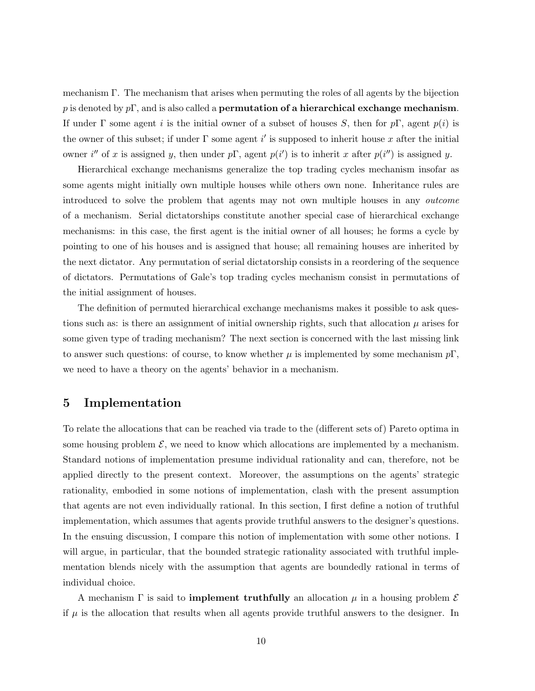mechanism Γ. The mechanism that arises when permuting the roles of all agents by the bijection p is denoted by  $p\Gamma$ , and is also called a **permutation of a hierarchical exchange mechanism**. If under  $\Gamma$  some agent i is the initial owner of a subset of houses S, then for p $\Gamma$ , agent  $p(i)$  is the owner of this subset; if under  $\Gamma$  some agent i' is supposed to inherit house x after the initial owner i'' of x is assigned y, then under  $p\Gamma$ , agent  $p(i')$  is to inherit x after  $p(i'')$  is assigned y.

Hierarchical exchange mechanisms generalize the top trading cycles mechanism insofar as some agents might initially own multiple houses while others own none. Inheritance rules are introduced to solve the problem that agents may not own multiple houses in any outcome of a mechanism. Serial dictatorships constitute another special case of hierarchical exchange mechanisms: in this case, the first agent is the initial owner of all houses; he forms a cycle by pointing to one of his houses and is assigned that house; all remaining houses are inherited by the next dictator. Any permutation of serial dictatorship consists in a reordering of the sequence of dictators. Permutations of Gale's top trading cycles mechanism consist in permutations of the initial assignment of houses.

The definition of permuted hierarchical exchange mechanisms makes it possible to ask questions such as: is there an assignment of initial ownership rights, such that allocation  $\mu$  arises for some given type of trading mechanism? The next section is concerned with the last missing link to answer such questions: of course, to know whether  $\mu$  is implemented by some mechanism  $p\Gamma$ , we need to have a theory on the agents' behavior in a mechanism.

#### 5 Implementation

To relate the allocations that can be reached via trade to the (different sets of) Pareto optima in some housing problem  $\mathcal{E}$ , we need to know which allocations are implemented by a mechanism. Standard notions of implementation presume individual rationality and can, therefore, not be applied directly to the present context. Moreover, the assumptions on the agents' strategic rationality, embodied in some notions of implementation, clash with the present assumption that agents are not even individually rational. In this section, I first define a notion of truthful implementation, which assumes that agents provide truthful answers to the designer's questions. In the ensuing discussion, I compare this notion of implementation with some other notions. I will argue, in particular, that the bounded strategic rationality associated with truthful implementation blends nicely with the assumption that agents are boundedly rational in terms of individual choice.

A mechanism  $\Gamma$  is said to **implement truthfully** an allocation  $\mu$  in a housing problem  $\mathcal{E}$ if  $\mu$  is the allocation that results when all agents provide truthful answers to the designer. In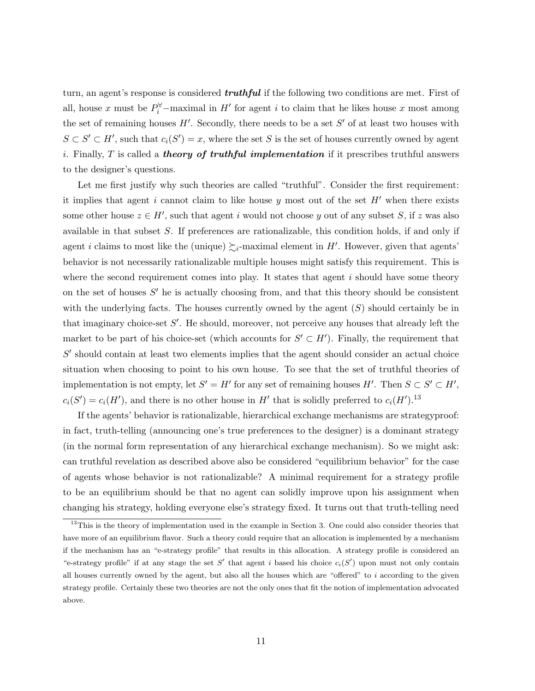turn, an agent's response is considered **truthful** if the following two conditions are met. First of all, house x must be  $P_i^{\forall}$ -maximal in H' for agent i to claim that he likes house x most among the set of remaining houses  $H'$ . Secondly, there needs to be a set  $S'$  of at least two houses with  $S \subset S' \subset H'$ , such that  $c_i(S') = x$ , where the set S is the set of houses currently owned by agent i. Finally,  $T$  is called a *theory of truthful implementation* if it prescribes truthful answers to the designer's questions.

Let me first justify why such theories are called "truthful". Consider the first requirement: it implies that agent i cannot claim to like house y most out of the set  $H'$  when there exists some other house  $z \in H'$ , such that agent i would not choose y out of any subset S, if z was also available in that subset  $S$ . If preferences are rationalizable, this condition holds, if and only if agent *i* claims to most like the (unique)  $\sum_{i}$ -maximal element in H'. However, given that agents' behavior is not necessarily rationalizable multiple houses might satisfy this requirement. This is where the second requirement comes into play. It states that agent  $i$  should have some theory on the set of houses  $S'$  he is actually choosing from, and that this theory should be consistent with the underlying facts. The houses currently owned by the agent  $(S)$  should certainly be in that imaginary choice-set  $S'$ . He should, moreover, not perceive any houses that already left the market to be part of his choice-set (which accounts for  $S' \subset H'$ ). Finally, the requirement that  $S'$  should contain at least two elements implies that the agent should consider an actual choice situation when choosing to point to his own house. To see that the set of truthful theories of implementation is not empty, let  $S' = H'$  for any set of remaining houses  $H'$ . Then  $S \subset S' \subset H'$ ,  $c_i(S') = c_i(H')$ , and there is no other house in H' that is solidly preferred to  $c_i(H')$ .<sup>13</sup>

If the agents' behavior is rationalizable, hierarchical exchange mechanisms are strategyproof: in fact, truth-telling (announcing one's true preferences to the designer) is a dominant strategy (in the normal form representation of any hierarchical exchange mechanism). So we might ask: can truthful revelation as described above also be considered "equilibrium behavior" for the case of agents whose behavior is not rationalizable? A minimal requirement for a strategy profile to be an equilibrium should be that no agent can solidly improve upon his assignment when changing his strategy, holding everyone else's strategy fixed. It turns out that truth-telling need

<sup>&</sup>lt;sup>13</sup>This is the theory of implementation used in the example in Section 3. One could also consider theories that have more of an equilibrium flavor. Such a theory could require that an allocation is implemented by a mechanism if the mechanism has an "e-strategy profile" that results in this allocation. A strategy profile is considered an "e-strategy profile" if at any stage the set S' that agent i based his choice  $c_i(S')$  upon must not only contain all houses currently owned by the agent, but also all the houses which are "offered" to  $i$  according to the given strategy profile. Certainly these two theories are not the only ones that fit the notion of implementation advocated above.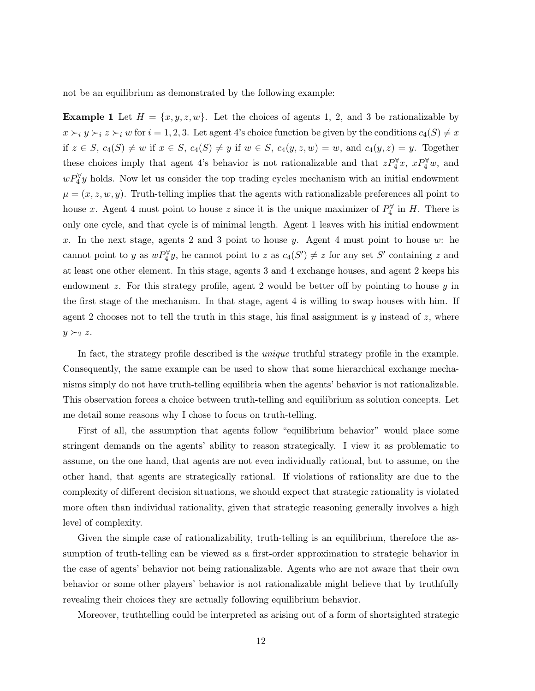not be an equilibrium as demonstrated by the following example:

**Example 1** Let  $H = \{x, y, z, w\}$ . Let the choices of agents 1, 2, and 3 be rationalizable by  $x \succ_i y \succ_i z \succ_i w$  for  $i = 1, 2, 3$ . Let agent 4's choice function be given by the conditions  $c_4(S) \neq x$ if  $z \in S$ ,  $c_4(S) \neq w$  if  $x \in S$ ,  $c_4(S) \neq y$  if  $w \in S$ ,  $c_4(y, z, w) = w$ , and  $c_4(y, z) = y$ . Together these choices imply that agent 4's behavior is not rationalizable and that  $zP_4^{\forall}x$ ,  $xP_4^{\forall}w$ , and  $wP_4^{\forall}y$  holds. Now let us consider the top trading cycles mechanism with an initial endowment  $\mu = (x, z, w, y)$ . Truth-telling implies that the agents with rationalizable preferences all point to house x. Agent 4 must point to house z since it is the unique maximizer of  $P_4^{\forall}$  in H. There is only one cycle, and that cycle is of minimal length. Agent 1 leaves with his initial endowment x. In the next stage, agents 2 and 3 point to house y. Agent 4 must point to house  $w$ : he cannot point to y as  $wP_4^{\forall}y$ , he cannot point to z as  $c_4(S') \neq z$  for any set S' containing z and at least one other element. In this stage, agents 3 and 4 exchange houses, and agent 2 keeps his endowment z. For this strategy profile, agent 2 would be better off by pointing to house  $y$  in the first stage of the mechanism. In that stage, agent 4 is willing to swap houses with him. If agent 2 chooses not to tell the truth in this stage, his final assignment is y instead of z, where  $y \succ_2 z$ .

In fact, the strategy profile described is the *unique* truthful strategy profile in the example. Consequently, the same example can be used to show that some hierarchical exchange mechanisms simply do not have truth-telling equilibria when the agents' behavior is not rationalizable. This observation forces a choice between truth-telling and equilibrium as solution concepts. Let me detail some reasons why I chose to focus on truth-telling.

First of all, the assumption that agents follow "equilibrium behavior" would place some stringent demands on the agents' ability to reason strategically. I view it as problematic to assume, on the one hand, that agents are not even individually rational, but to assume, on the other hand, that agents are strategically rational. If violations of rationality are due to the complexity of different decision situations, we should expect that strategic rationality is violated more often than individual rationality, given that strategic reasoning generally involves a high level of complexity.

Given the simple case of rationalizability, truth-telling is an equilibrium, therefore the assumption of truth-telling can be viewed as a first-order approximation to strategic behavior in the case of agents' behavior not being rationalizable. Agents who are not aware that their own behavior or some other players' behavior is not rationalizable might believe that by truthfully revealing their choices they are actually following equilibrium behavior.

Moreover, truthtelling could be interpreted as arising out of a form of shortsighted strategic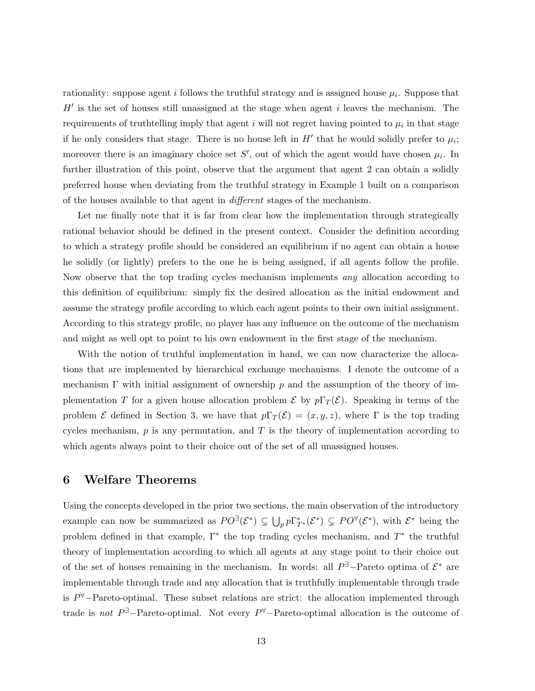rationality: suppose agent i follows the truthful strategy and is assigned house  $\mu_i$ . Suppose that  $H'$  is the set of houses still unassigned at the stage when agent i leaves the mechanism. The requirements of truthtelling imply that agent  $i$  will not regret having pointed to  $\mu_i$  in that stage if he only considers that stage. There is no house left in  $H'$  that he would solidly prefer to  $\mu_i$ ; moreover there is an imaginary choice set  $S'$ , out of which the agent would have chosen  $\mu_i$ . In further illustration of this point, observe that the argument that agent 2 can obtain a solidly preferred house when deviating from the truthful strategy in Example 1 built on a comparison of the houses available to that agent in different stages of the mechanism.

Let me finally note that it is far from clear how the implementation through strategically rational behavior should be defined in the present context. Consider the definition according to which a strategy profile should be considered an equilibrium if no agent can obtain a house he solidly (or lightly) prefers to the one he is being assigned, if all agents follow the profile. Now observe that the top trading cycles mechanism implements any allocation according to this definition of equilibrium: simply fix the desired allocation as the initial endowment and assume the strategy profile according to which each agent points to their own initial assignment. According to this strategy profile, no player has any influence on the outcome of the mechanism and might as well opt to point to his own endowment in the first stage of the mechanism.

With the notion of truthful implementation in hand, we can now characterize the allocations that are implemented by hierarchical exchange mechanisms. I denote the outcome of a mechanism  $\Gamma$  with initial assignment of ownership p and the assumption of the theory of implementation T for a given house allocation problem E by  $p\Gamma_T(\mathcal{E})$ . Speaking in terms of the problem E defined in Section 3, we have that  $p\Gamma_T(\mathcal{E}) = (x, y, z)$ , where  $\Gamma$  is the top trading cycles mechanism,  $p$  is any permutation, and  $T$  is the theory of implementation according to which agents always point to their choice out of the set of all unassigned houses.

#### 6 Welfare Theorems

Using the concepts developed in the prior two sections, the main observation of the introductory example can now be summarized as  $PO^{\exists}(\mathcal{E}^*) \subsetneq \bigcup_p p\Gamma^*_{T^*}(\mathcal{E}^*) \subsetneq PO^{\forall}(\mathcal{E}^*)$ , with  $\mathcal{E}^*$  being the problem defined in that example,  $\Gamma^*$  the top trading cycles mechanism, and  $T^*$  the truthful theory of implementation according to which all agents at any stage point to their choice out of the set of houses remaining in the mechanism. In words: all  $P^{\exists}$ -Pareto optima of  $\mathcal{E}^*$  are implementable through trade and any allocation that is truthfully implementable through trade is  $P^{\forall}$ -Pareto-optimal. These subset relations are strict: the allocation implemented through trade is *not*  $P^{\exists}$ -Pareto-optimal. Not every  $P^{\forall}$ -Pareto-optimal allocation is the outcome of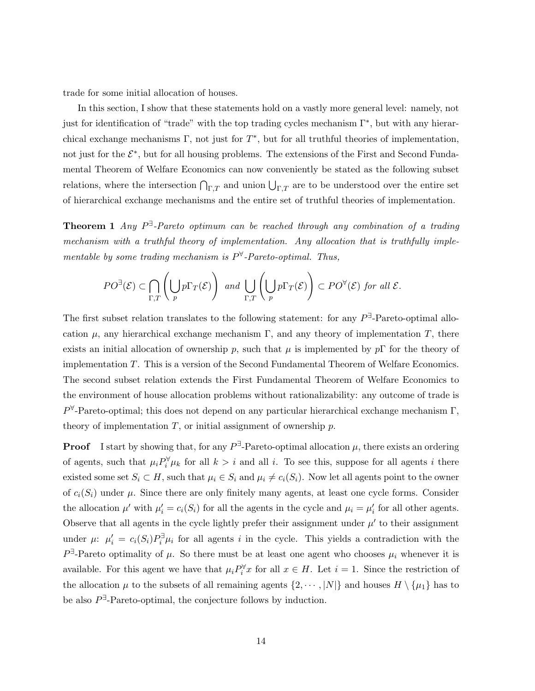trade for some initial allocation of houses.

In this section, I show that these statements hold on a vastly more general level: namely, not just for identification of "trade" with the top trading cycles mechanism Γ<sup>∗</sup> , but with any hierarchical exchange mechanisms  $\Gamma$ , not just for  $T^*$ , but for all truthful theories of implementation, not just for the  $\mathcal{E}^*$ , but for all housing problems. The extensions of the First and Second Fundamental Theorem of Welfare Economics can now conveniently be stated as the following subset relations, where the intersection  $\bigcap_{\Gamma,T}$  and union  $\bigcup_{\Gamma,T}$  are to be understood over the entire set of hierarchical exchange mechanisms and the entire set of truthful theories of implementation.

**Theorem 1** Any  $P^{\exists}$ -Pareto optimum can be reached through any combination of a trading mechanism with a truthful theory of implementation. Any allocation that is truthfully implementable by some trading mechanism is  $P^{\forall}$ -Pareto-optimal. Thus,

$$
PO^{\exists}(\mathcal{E}) \subset \bigcap_{\Gamma,T} \left( \bigcup_{p} p\Gamma_{T}(\mathcal{E})\right) \text{ and } \bigcup_{\Gamma,T} \left( \bigcup_{p} p\Gamma_{T}(\mathcal{E})\right) \subset PO^{\forall}(\mathcal{E}) \text{ for all } \mathcal{E}.
$$

The first subset relation translates to the following statement: for any  $P^{\exists}$ -Pareto-optimal allocation  $\mu$ , any hierarchical exchange mechanism Γ, and any theory of implementation T, there exists an initial allocation of ownership p, such that  $\mu$  is implemented by  $p\Gamma$  for the theory of implementation T. This is a version of the Second Fundamental Theorem of Welfare Economics. The second subset relation extends the First Fundamental Theorem of Welfare Economics to the environment of house allocation problems without rationalizability: any outcome of trade is  $P^{\forall}$ -Pareto-optimal; this does not depend on any particular hierarchical exchange mechanism  $\Gamma$ , theory of implementation  $T$ , or initial assignment of ownership  $p$ .

**Proof** I start by showing that, for any  $P^{\exists}$ -Pareto-optimal allocation  $\mu$ , there exists an ordering of agents, such that  $\mu_i P_i^{\forall} \mu_k$  for all  $k > i$  and all i. To see this, suppose for all agents i there existed some set  $S_i \subset H$ , such that  $\mu_i \in S_i$  and  $\mu_i \neq c_i(S_i)$ . Now let all agents point to the owner of  $c_i(S_i)$  under  $\mu$ . Since there are only finitely many agents, at least one cycle forms. Consider the allocation  $\mu'$  with  $\mu'_i = c_i(S_i)$  for all the agents in the cycle and  $\mu_i = \mu'_i$  for all other agents. Observe that all agents in the cycle lightly prefer their assignment under  $\mu'$  to their assignment under  $\mu$ :  $\mu'_i = c_i(S_i) P_i^{\exists} \mu_i$  for all agents i in the cycle. This yields a contradiction with the  $P^{\exists}$ -Pareto optimality of  $\mu$ . So there must be at least one agent who chooses  $\mu_i$  whenever it is available. For this agent we have that  $\mu_i P_i^{\forall} x$  for all  $x \in H$ . Let  $i = 1$ . Since the restriction of the allocation  $\mu$  to the subsets of all remaining agents  $\{2, \dots, |N|\}$  and houses  $H \setminus \{\mu_1\}$  has to be also  $P^{\exists}$ -Pareto-optimal, the conjecture follows by induction.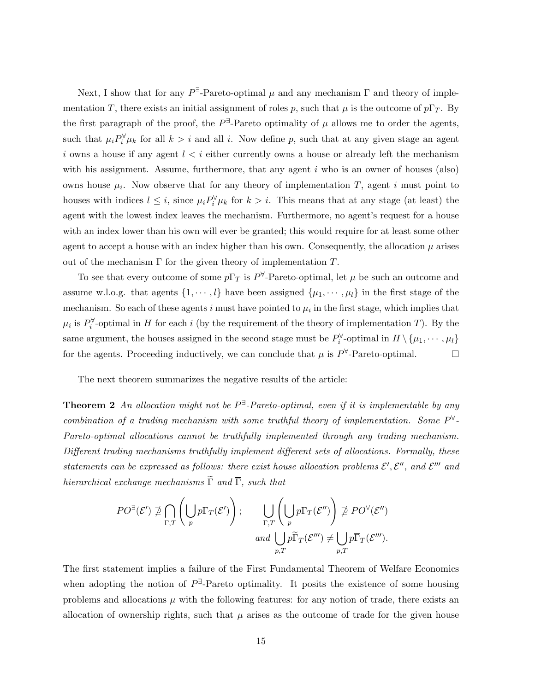Next, I show that for any  $P^{\exists}$ -Pareto-optimal  $\mu$  and any mechanism  $\Gamma$  and theory of implementation T, there exists an initial assignment of roles p, such that  $\mu$  is the outcome of  $p\Gamma_T$ . By the first paragraph of the proof, the  $P^{\exists}$ -Pareto optimality of  $\mu$  allows me to order the agents, such that  $\mu_i P_i^{\forall} \mu_k$  for all  $k > i$  and all i. Now define p, such that at any given stage an agent i owns a house if any agent  $l < i$  either currently owns a house or already left the mechanism with his assignment. Assume, furthermore, that any agent  $i$  who is an owner of houses (also) owns house  $\mu_i$ . Now observe that for any theory of implementation T, agent i must point to houses with indices  $l \leq i$ , since  $\mu_i P_i^{\forall} \mu_k$  for  $k > i$ . This means that at any stage (at least) the agent with the lowest index leaves the mechanism. Furthermore, no agent's request for a house with an index lower than his own will ever be granted; this would require for at least some other agent to accept a house with an index higher than his own. Consequently, the allocation  $\mu$  arises out of the mechanism  $\Gamma$  for the given theory of implementation  $T$ .

To see that every outcome of some  $p\Gamma_T$  is  $P^{\forall}$ -Pareto-optimal, let  $\mu$  be such an outcome and assume w.l.o.g. that agents  $\{1, \dots, l\}$  have been assigned  $\{\mu_1, \dots, \mu_l\}$  in the first stage of the mechanism. So each of these agents i must have pointed to  $\mu_i$  in the first stage, which implies that  $\mu_i$  is  $P_i^{\forall}$ -optimal in H for each i (by the requirement of the theory of implementation T). By the same argument, the houses assigned in the second stage must be  $P_i^{\forall}$ -optimal in  $H \setminus {\mu_1, \cdots, \mu_l}$ for the agents. Proceeding inductively, we can conclude that  $\mu$  is  $P^{\forall}$ -Pareto-optimal.

The next theorem summarizes the negative results of the article:

**Theorem 2** An allocation might not be  $P^{\exists}$ -Pareto-optimal, even if it is implementable by any combination of a trading mechanism with some truthful theory of implementation. Some  $P^{\forall}$ -Pareto-optimal allocations cannot be truthfully implemented through any trading mechanism. Different trading mechanisms truthfully implement different sets of allocations. Formally, these statements can be expressed as follows: there exist house allocation problems  $\mathcal{E}', \mathcal{E}''$ , and  $\mathcal{E}'''$  and hierarchical exchange mechanisms  $\tilde{\Gamma}$  and  $\overline{\Gamma}$ , such that

$$
PO^{\exists}(\mathcal{E}') \ncong \bigcap_{\Gamma,T} \left( \bigcup_{p} p \Gamma_{T}(\mathcal{E}') \right); \qquad \bigcup_{\Gamma,T} \left( \bigcup_{p} p \Gamma_{T}(\mathcal{E}'') \right) \ncong PO^{\forall}(\mathcal{E}'')
$$
\n
$$
and \bigcup_{p,T} p \widetilde{\Gamma}_{T}(\mathcal{E}''') \neq \bigcup_{p,T} p \overline{\Gamma}_{T}(\mathcal{E}''').
$$

The first statement implies a failure of the First Fundamental Theorem of Welfare Economics when adopting the notion of  $P^{\exists}$ -Pareto optimality. It posits the existence of some housing problems and allocations  $\mu$  with the following features: for any notion of trade, there exists an allocation of ownership rights, such that  $\mu$  arises as the outcome of trade for the given house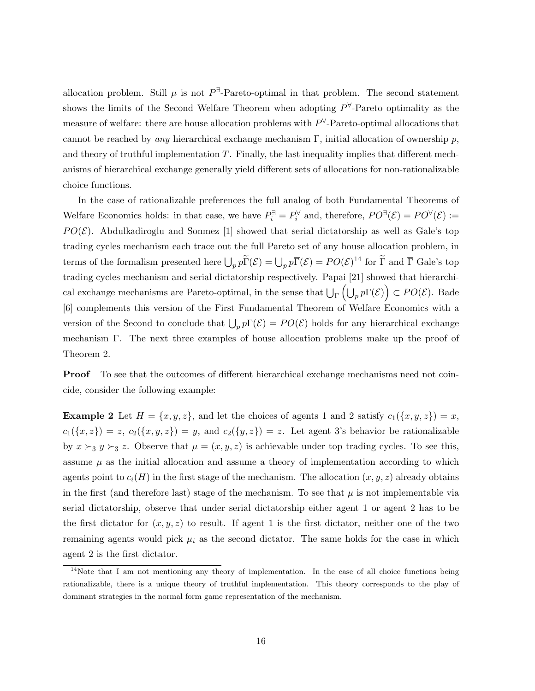allocation problem. Still  $\mu$  is not  $P^{\exists}$ -Pareto-optimal in that problem. The second statement shows the limits of the Second Welfare Theorem when adopting  $P^{\forall}$ -Pareto optimality as the measure of welfare: there are house allocation problems with  $P^{\forall}$ -Pareto-optimal allocations that cannot be reached by any hierarchical exchange mechanism Γ, initial allocation of ownership  $p$ , and theory of truthful implementation  $T$ . Finally, the last inequality implies that different mechanisms of hierarchical exchange generally yield different sets of allocations for non-rationalizable choice functions.

In the case of rationalizable preferences the full analog of both Fundamental Theorems of Welfare Economics holds: in that case, we have  $P_i^{\exists} = P_i^{\forall}$  and, therefore,  $PO^{\exists}(\mathcal{E}) = PO^{\forall}(\mathcal{E}) :=$  $PO(\mathcal{E})$ . Abdulkadiroglu and Sonmez [1] showed that serial dictatorship as well as Gale's top trading cycles mechanism each trace out the full Pareto set of any house allocation problem, in terms of the formalism presented here  $\bigcup_p p\widetilde{\Gamma}(\mathcal{E}) = \bigcup_p p\overline{\Gamma}(\mathcal{E}) = PO(\mathcal{E})^{14}$  for  $\widetilde{\Gamma}$  and  $\overline{\Gamma}$  Gale's top trading cycles mechanism and serial dictatorship respectively. Papai [21] showed that hierarchical exchange mechanisms are Pareto-optimal, in the sense that  $\bigcup_{\Gamma} (\bigcup_p p\Gamma(\mathcal{E})) \subset PO(\mathcal{E})$ . Bade [6] complements this version of the First Fundamental Theorem of Welfare Economics with a version of the Second to conclude that  $\bigcup_p p\Gamma(\mathcal{E}) = PO(\mathcal{E})$  holds for any hierarchical exchange mechanism Γ. The next three examples of house allocation problems make up the proof of Theorem 2.

Proof To see that the outcomes of different hierarchical exchange mechanisms need not coincide, consider the following example:

**Example 2** Let  $H = \{x, y, z\}$ , and let the choices of agents 1 and 2 satisfy  $c_1(\{x, y, z\}) = x$ ,  $c_1({x, z}) = z$ ,  $c_2({x, y, z}) = y$ , and  $c_2({y, z}) = z$ . Let agent 3's behavior be rationalizable by  $x \succ_3 y \succ_3 z$ . Observe that  $\mu = (x, y, z)$  is achievable under top trading cycles. To see this, assume  $\mu$  as the initial allocation and assume a theory of implementation according to which agents point to  $c_i(H)$  in the first stage of the mechanism. The allocation  $(x, y, z)$  already obtains in the first (and therefore last) stage of the mechanism. To see that  $\mu$  is not implementable via serial dictatorship, observe that under serial dictatorship either agent 1 or agent 2 has to be the first dictator for  $(x, y, z)$  to result. If agent 1 is the first dictator, neither one of the two remaining agents would pick  $\mu_i$  as the second dictator. The same holds for the case in which agent 2 is the first dictator.

 $14$ Note that I am not mentioning any theory of implementation. In the case of all choice functions being rationalizable, there is a unique theory of truthful implementation. This theory corresponds to the play of dominant strategies in the normal form game representation of the mechanism.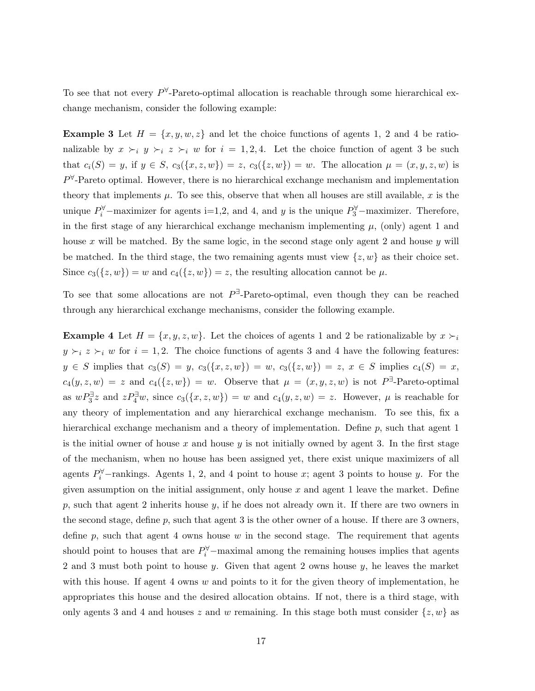To see that not every  $P^{\forall}$ -Pareto-optimal allocation is reachable through some hierarchical exchange mechanism, consider the following example:

**Example 3** Let  $H = \{x, y, w, z\}$  and let the choice functions of agents 1, 2 and 4 be rationalizable by  $x \succ_i y \succ_i z \succ_i w$  for  $i = 1, 2, 4$ . Let the choice function of agent 3 be such that  $c_i(S) = y$ , if  $y \in S$ ,  $c_3({x, z, w}) = z$ ,  $c_3({z, w}) = w$ . The allocation  $\mu = (x, y, z, w)$  is  $P^{\forall}$ -Pareto optimal. However, there is no hierarchical exchange mechanism and implementation theory that implements  $\mu$ . To see this, observe that when all houses are still available,  $x$  is the unique  $P_i^{\forall}$  –maximizer for agents i=1,2, and 4, and y is the unique  $P_3^{\forall}$  –maximizer. Therefore, in the first stage of any hierarchical exchange mechanism implementing  $\mu$ , (only) agent 1 and house x will be matched. By the same logic, in the second stage only agent 2 and house  $\gamma$  will be matched. In the third stage, the two remaining agents must view  $\{z, w\}$  as their choice set. Since  $c_3({z, w}) = w$  and  $c_4({z, w}) = z$ , the resulting allocation cannot be  $\mu$ .

To see that some allocations are not  $P^{\exists}$ -Pareto-optimal, even though they can be reached through any hierarchical exchange mechanisms, consider the following example.

**Example 4** Let  $H = \{x, y, z, w\}$ . Let the choices of agents 1 and 2 be rationalizable by  $x \succ_i$  $y \succ_i z \succ_i w$  for  $i = 1, 2$ . The choice functions of agents 3 and 4 have the following features:  $y \in S$  implies that  $c_3(S) = y$ ,  $c_3({x, z, w}) = w$ ,  $c_3({z, w}) = z$ ,  $x \in S$  implies  $c_4(S) = x$ ,  $c_4(y, z, w) = z$  and  $c_4({z, w}) = w$ . Observe that  $\mu = (x, y, z, w)$  is not  $P^{\exists}$ -Pareto-optimal as  $wP_3^{\exists}z$  and  $zP_4^{\exists}w$ , since  $c_3({x, z, w}) = w$  and  $c_4(y, z, w) = z$ . However,  $\mu$  is reachable for any theory of implementation and any hierarchical exchange mechanism. To see this, fix a hierarchical exchange mechanism and a theory of implementation. Define p, such that agent 1 is the initial owner of house  $x$  and house  $y$  is not initially owned by agent 3. In the first stage of the mechanism, when no house has been assigned yet, there exist unique maximizers of all agents  $P_i^{\forall}$ -rankings. Agents 1, 2, and 4 point to house x; agent 3 points to house y. For the given assumption on the initial assignment, only house  $x$  and agent 1 leave the market. Define  $p$ , such that agent 2 inherits house  $y$ , if he does not already own it. If there are two owners in the second stage, define  $p$ , such that agent 3 is the other owner of a house. If there are 3 owners, define  $p$ , such that agent 4 owns house  $w$  in the second stage. The requirement that agents should point to houses that are  $P_i^{\forall}$  –maximal among the remaining houses implies that agents 2 and 3 must both point to house  $y$ . Given that agent 2 owns house  $y$ , he leaves the market with this house. If agent 4 owns  $w$  and points to it for the given theory of implementation, he appropriates this house and the desired allocation obtains. If not, there is a third stage, with only agents 3 and 4 and houses z and w remaining. In this stage both must consider  $\{z, w\}$  as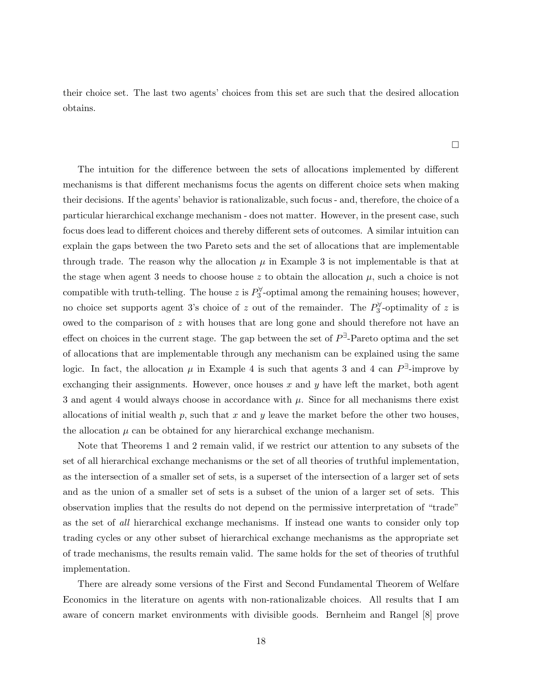their choice set. The last two agents' choices from this set are such that the desired allocation obtains.

 $\Box$ 

The intuition for the difference between the sets of allocations implemented by different mechanisms is that different mechanisms focus the agents on different choice sets when making their decisions. If the agents' behavior is rationalizable, such focus - and, therefore, the choice of a particular hierarchical exchange mechanism - does not matter. However, in the present case, such focus does lead to different choices and thereby different sets of outcomes. A similar intuition can explain the gaps between the two Pareto sets and the set of allocations that are implementable through trade. The reason why the allocation  $\mu$  in Example 3 is not implementable is that at the stage when agent 3 needs to choose house z to obtain the allocation  $\mu$ , such a choice is not compatible with truth-telling. The house z is  $P_3^{\forall}$ -optimal among the remaining houses; however, no choice set supports agent 3's choice of z out of the remainder. The  $P_3^{\forall}$ -optimality of z is owed to the comparison of z with houses that are long gone and should therefore not have an effect on choices in the current stage. The gap between the set of  $P^{\exists}$ -Pareto optima and the set of allocations that are implementable through any mechanism can be explained using the same logic. In fact, the allocation  $\mu$  in Example 4 is such that agents 3 and 4 can  $P^{\exists}$ -improve by exchanging their assignments. However, once houses x and  $y$  have left the market, both agent 3 and agent 4 would always choose in accordance with  $\mu$ . Since for all mechanisms there exist allocations of initial wealth p, such that x and y leave the market before the other two houses, the allocation  $\mu$  can be obtained for any hierarchical exchange mechanism.

Note that Theorems 1 and 2 remain valid, if we restrict our attention to any subsets of the set of all hierarchical exchange mechanisms or the set of all theories of truthful implementation, as the intersection of a smaller set of sets, is a superset of the intersection of a larger set of sets and as the union of a smaller set of sets is a subset of the union of a larger set of sets. This observation implies that the results do not depend on the permissive interpretation of "trade" as the set of all hierarchical exchange mechanisms. If instead one wants to consider only top trading cycles or any other subset of hierarchical exchange mechanisms as the appropriate set of trade mechanisms, the results remain valid. The same holds for the set of theories of truthful implementation.

There are already some versions of the First and Second Fundamental Theorem of Welfare Economics in the literature on agents with non-rationalizable choices. All results that I am aware of concern market environments with divisible goods. Bernheim and Rangel [8] prove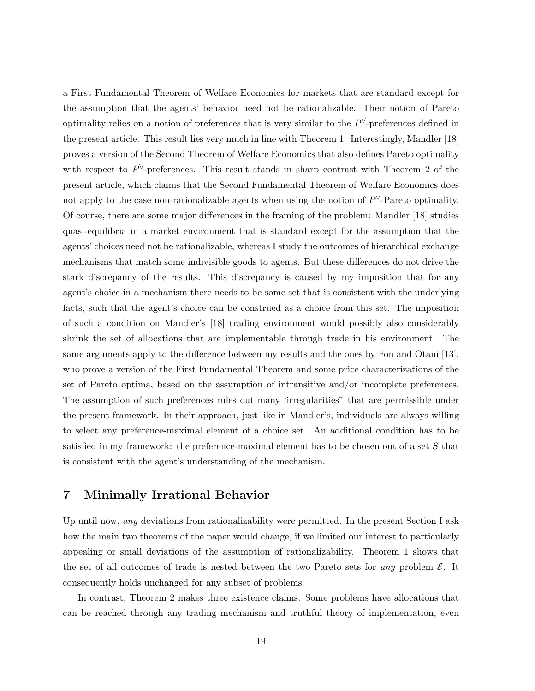a First Fundamental Theorem of Welfare Economics for markets that are standard except for the assumption that the agents' behavior need not be rationalizable. Their notion of Pareto optimality relies on a notion of preferences that is very similar to the  $P^{\forall}$ -preferences defined in the present article. This result lies very much in line with Theorem 1. Interestingly, Mandler [18] proves a version of the Second Theorem of Welfare Economics that also defines Pareto optimality with respect to  $P^{\forall}$ -preferences. This result stands in sharp contrast with Theorem 2 of the present article, which claims that the Second Fundamental Theorem of Welfare Economics does not apply to the case non-rationalizable agents when using the notion of  $P^{\forall}$ -Pareto optimality. Of course, there are some major differences in the framing of the problem: Mandler [18] studies quasi-equilibria in a market environment that is standard except for the assumption that the agents' choices need not be rationalizable, whereas I study the outcomes of hierarchical exchange mechanisms that match some indivisible goods to agents. But these differences do not drive the stark discrepancy of the results. This discrepancy is caused by my imposition that for any agent's choice in a mechanism there needs to be some set that is consistent with the underlying facts, such that the agent's choice can be construed as a choice from this set. The imposition of such a condition on Mandler's [18] trading environment would possibly also considerably shrink the set of allocations that are implementable through trade in his environment. The same arguments apply to the difference between my results and the ones by Fon and Otani [13], who prove a version of the First Fundamental Theorem and some price characterizations of the set of Pareto optima, based on the assumption of intransitive and/or incomplete preferences. The assumption of such preferences rules out many 'irregularities" that are permissible under the present framework. In their approach, just like in Mandler's, individuals are always willing to select any preference-maximal element of a choice set. An additional condition has to be satisfied in my framework: the preference-maximal element has to be chosen out of a set S that is consistent with the agent's understanding of the mechanism.

### 7 Minimally Irrational Behavior

Up until now, any deviations from rationalizability were permitted. In the present Section I ask how the main two theorems of the paper would change, if we limited our interest to particularly appealing or small deviations of the assumption of rationalizability. Theorem 1 shows that the set of all outcomes of trade is nested between the two Pareto sets for any problem  $\mathcal{E}$ . It consequently holds unchanged for any subset of problems.

In contrast, Theorem 2 makes three existence claims. Some problems have allocations that can be reached through any trading mechanism and truthful theory of implementation, even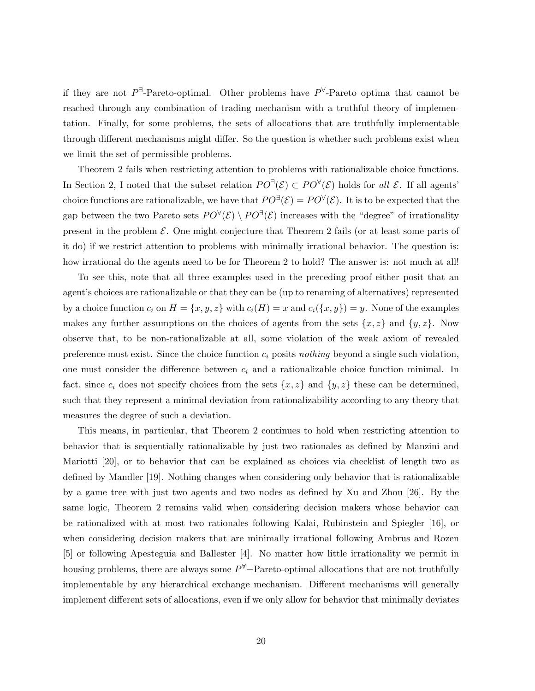if they are not  $P^{\exists}$ -Pareto-optimal. Other problems have  $P^{\forall}$ -Pareto optima that cannot be reached through any combination of trading mechanism with a truthful theory of implementation. Finally, for some problems, the sets of allocations that are truthfully implementable through different mechanisms might differ. So the question is whether such problems exist when we limit the set of permissible problems.

Theorem 2 fails when restricting attention to problems with rationalizable choice functions. In Section 2, I noted that the subset relation  $PO^{\exists}(\mathcal{E}) \subset PO^{\forall}(\mathcal{E})$  holds for all  $\mathcal{E}$ . If all agents' choice functions are rationalizable, we have that  $PO^{\exists}(\mathcal{E}) = PO^{\forall}(\mathcal{E})$ . It is to be expected that the gap between the two Pareto sets  $PO^{\forall}(\mathcal{E}) \setminus PO^{\exists}(\mathcal{E})$  increases with the "degree" of irrationality present in the problem  $\mathcal E$ . One might conjecture that Theorem 2 fails (or at least some parts of it do) if we restrict attention to problems with minimally irrational behavior. The question is: how irrational do the agents need to be for Theorem 2 to hold? The answer is: not much at all!

To see this, note that all three examples used in the preceding proof either posit that an agent's choices are rationalizable or that they can be (up to renaming of alternatives) represented by a choice function  $c_i$  on  $H = \{x, y, z\}$  with  $c_i(H) = x$  and  $c_i(\{x, y\}) = y$ . None of the examples makes any further assumptions on the choices of agents from the sets  $\{x, z\}$  and  $\{y, z\}$ . Now observe that, to be non-rationalizable at all, some violation of the weak axiom of revealed preference must exist. Since the choice function  $c_i$  posits nothing beyond a single such violation, one must consider the difference between  $c_i$  and a rationalizable choice function minimal. In fact, since  $c_i$  does not specify choices from the sets  $\{x, z\}$  and  $\{y, z\}$  these can be determined, such that they represent a minimal deviation from rationalizability according to any theory that measures the degree of such a deviation.

This means, in particular, that Theorem 2 continues to hold when restricting attention to behavior that is sequentially rationalizable by just two rationales as defined by Manzini and Mariotti [20], or to behavior that can be explained as choices via checklist of length two as defined by Mandler [19]. Nothing changes when considering only behavior that is rationalizable by a game tree with just two agents and two nodes as defined by Xu and Zhou [26]. By the same logic, Theorem 2 remains valid when considering decision makers whose behavior can be rationalized with at most two rationales following Kalai, Rubinstein and Spiegler [16], or when considering decision makers that are minimally irrational following Ambrus and Rozen [5] or following Apesteguia and Ballester [4]. No matter how little irrationality we permit in housing problems, there are always some  $P^{\forall}$ -Pareto-optimal allocations that are not truthfully implementable by any hierarchical exchange mechanism. Different mechanisms will generally implement different sets of allocations, even if we only allow for behavior that minimally deviates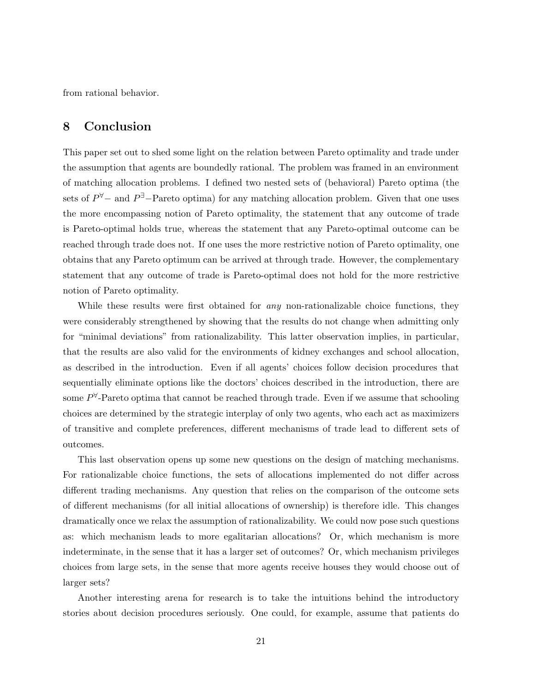from rational behavior.

### 8 Conclusion

This paper set out to shed some light on the relation between Pareto optimality and trade under the assumption that agents are boundedly rational. The problem was framed in an environment of matching allocation problems. I defined two nested sets of (behavioral) Pareto optima (the sets of  $P^{\forall}$  – and  $P^{\exists}$  – Pareto optima) for any matching allocation problem. Given that one uses the more encompassing notion of Pareto optimality, the statement that any outcome of trade is Pareto-optimal holds true, whereas the statement that any Pareto-optimal outcome can be reached through trade does not. If one uses the more restrictive notion of Pareto optimality, one obtains that any Pareto optimum can be arrived at through trade. However, the complementary statement that any outcome of trade is Pareto-optimal does not hold for the more restrictive notion of Pareto optimality.

While these results were first obtained for *any* non-rationalizable choice functions, they were considerably strengthened by showing that the results do not change when admitting only for "minimal deviations" from rationalizability. This latter observation implies, in particular, that the results are also valid for the environments of kidney exchanges and school allocation, as described in the introduction. Even if all agents' choices follow decision procedures that sequentially eliminate options like the doctors' choices described in the introduction, there are some  $P^{\forall}$ -Pareto optima that cannot be reached through trade. Even if we assume that schooling choices are determined by the strategic interplay of only two agents, who each act as maximizers of transitive and complete preferences, different mechanisms of trade lead to different sets of outcomes.

This last observation opens up some new questions on the design of matching mechanisms. For rationalizable choice functions, the sets of allocations implemented do not differ across different trading mechanisms. Any question that relies on the comparison of the outcome sets of different mechanisms (for all initial allocations of ownership) is therefore idle. This changes dramatically once we relax the assumption of rationalizability. We could now pose such questions as: which mechanism leads to more egalitarian allocations? Or, which mechanism is more indeterminate, in the sense that it has a larger set of outcomes? Or, which mechanism privileges choices from large sets, in the sense that more agents receive houses they would choose out of larger sets?

Another interesting arena for research is to take the intuitions behind the introductory stories about decision procedures seriously. One could, for example, assume that patients do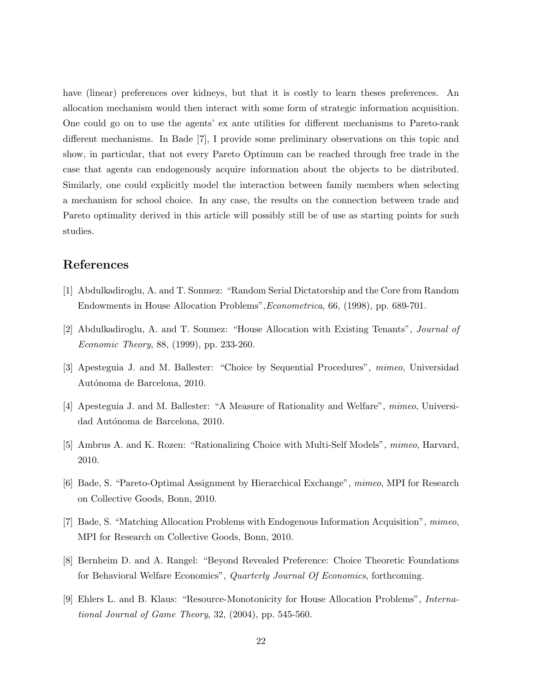have (linear) preferences over kidneys, but that it is costly to learn theses preferences. An allocation mechanism would then interact with some form of strategic information acquisition. One could go on to use the agents' ex ante utilities for different mechanisms to Pareto-rank different mechanisms. In Bade [7], I provide some preliminary observations on this topic and show, in particular, that not every Pareto Optimum can be reached through free trade in the case that agents can endogenously acquire information about the objects to be distributed. Similarly, one could explicitly model the interaction between family members when selecting a mechanism for school choice. In any case, the results on the connection between trade and Pareto optimality derived in this article will possibly still be of use as starting points for such studies.

## References

- [1] Abdulkadiroglu, A. and T. Sonmez: "Random Serial Dictatorship and the Core from Random Endowments in House Allocation Problems",Econometrica, 66, (1998), pp. 689-701.
- [2] Abdulkadiroglu, A. and T. Sonmez: "House Allocation with Existing Tenants", Journal of Economic Theory, 88, (1999), pp. 233-260.
- [3] Apesteguia J. and M. Ballester: "Choice by Sequential Procedures", mimeo, Universidad Autónoma de Barcelona, 2010.
- [4] Apesteguia J. and M. Ballester: "A Measure of Rationality and Welfare", mimeo, Universidad Autónoma de Barcelona, 2010.
- [5] Ambrus A. and K. Rozen: "Rationalizing Choice with Multi-Self Models", mimeo, Harvard, 2010.
- [6] Bade, S. "Pareto-Optimal Assignment by Hierarchical Exchange", mimeo, MPI for Research on Collective Goods, Bonn, 2010.
- [7] Bade, S. "Matching Allocation Problems with Endogenous Information Acquisition", mimeo, MPI for Research on Collective Goods, Bonn, 2010.
- [8] Bernheim D. and A. Rangel: "Beyond Revealed Preference: Choice Theoretic Foundations for Behavioral Welfare Economics", Quarterly Journal Of Economics, forthcoming.
- [9] Ehlers L. and B. Klaus: "Resource-Monotonicity for House Allocation Problems", International Journal of Game Theory, 32, (2004), pp. 545-560.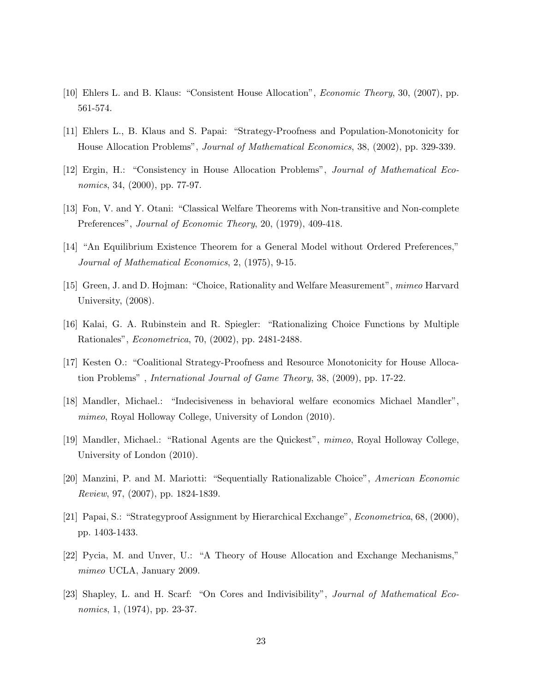- [10] Ehlers L. and B. Klaus: "Consistent House Allocation", Economic Theory, 30, (2007), pp. 561-574.
- [11] Ehlers L., B. Klaus and S. Papai: "Strategy-Proofness and Population-Monotonicity for House Allocation Problems", Journal of Mathematical Economics, 38, (2002), pp. 329-339.
- [12] Ergin, H.: "Consistency in House Allocation Problems", Journal of Mathematical Economics, 34, (2000), pp. 77-97.
- [13] Fon, V. and Y. Otani: "Classical Welfare Theorems with Non-transitive and Non-complete Preferences", Journal of Economic Theory, 20, (1979), 409-418.
- [14] "An Equilibrium Existence Theorem for a General Model without Ordered Preferences," Journal of Mathematical Economics, 2, (1975), 9-15.
- [15] Green, J. and D. Hojman: "Choice, Rationality and Welfare Measurement", mimeo Harvard University, (2008).
- [16] Kalai, G. A. Rubinstein and R. Spiegler: "Rationalizing Choice Functions by Multiple Rationales", Econometrica, 70, (2002), pp. 2481-2488.
- [17] Kesten O.: "Coalitional Strategy-Proofness and Resource Monotonicity for House Allocation Problems" , International Journal of Game Theory, 38, (2009), pp. 17-22.
- [18] Mandler, Michael.: "Indecisiveness in behavioral welfare economics Michael Mandler", mimeo, Royal Holloway College, University of London (2010).
- [19] Mandler, Michael.: "Rational Agents are the Quickest", mimeo, Royal Holloway College, University of London (2010).
- [20] Manzini, P. and M. Mariotti: "Sequentially Rationalizable Choice", American Economic Review, 97, (2007), pp. 1824-1839.
- [21] Papai, S.: "Strategyproof Assignment by Hierarchical Exchange", Econometrica, 68, (2000), pp. 1403-1433.
- [22] Pycia, M. and Unver, U.: "A Theory of House Allocation and Exchange Mechanisms," mimeo UCLA, January 2009.
- [23] Shapley, L. and H. Scarf: "On Cores and Indivisibility", Journal of Mathematical Economics, 1, (1974), pp. 23-37.